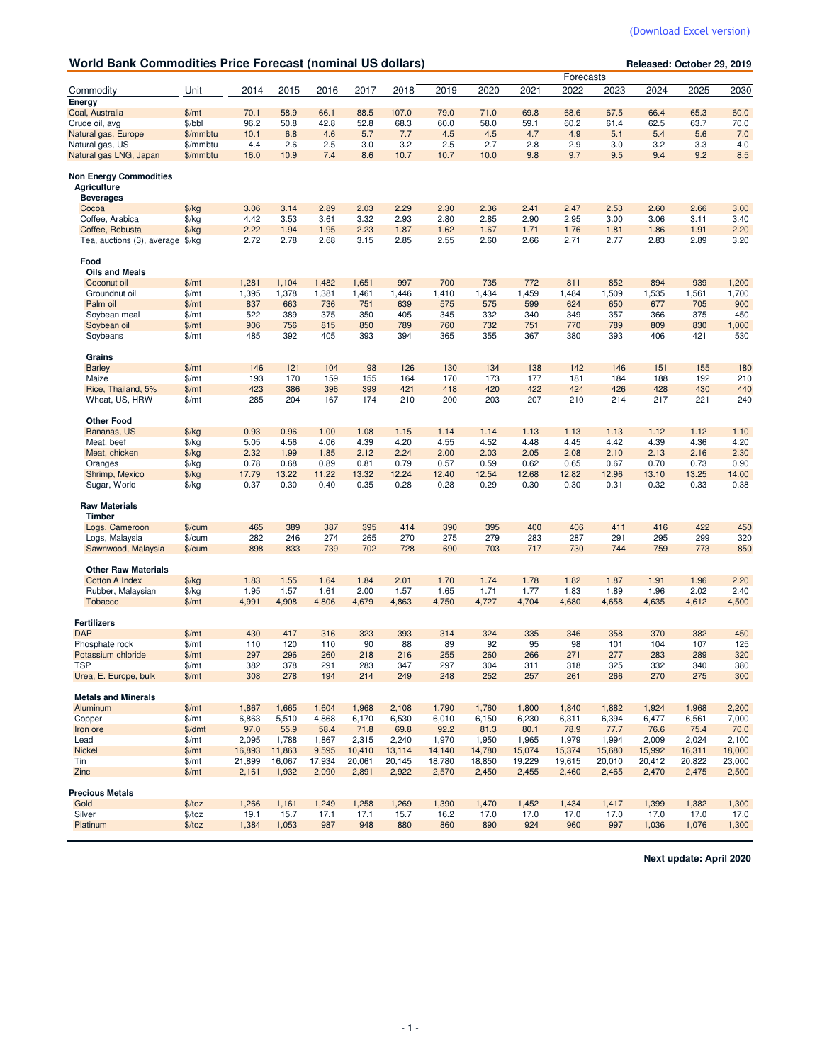| <b>World Bank Commodities Price Forecast (nominal US dollars)</b>       |               |        |        |        |        |        |        |        |        |           | Released: October 29, 2019 |        |        |        |  |  |
|-------------------------------------------------------------------------|---------------|--------|--------|--------|--------|--------|--------|--------|--------|-----------|----------------------------|--------|--------|--------|--|--|
|                                                                         |               |        |        |        |        |        |        |        |        | Forecasts |                            |        |        |        |  |  |
| Commodity                                                               | Unit          | 2014   | 2015   | 2016   | 2017   | 2018   | 2019   | 2020   | 2021   | 2022      | 2023                       | 2024   | 2025   | 2030   |  |  |
| Energy                                                                  | \$/mt         | 70.1   | 58.9   | 66.1   | 88.5   | 107.0  | 79.0   | 71.0   | 69.8   | 68.6      | 67.5                       | 66.4   | 65.3   | 60.0   |  |  |
| Coal, Australia<br>Crude oil, avg                                       | \$/bbl        | 96.2   | 50.8   | 42.8   | 52.8   | 68.3   | 60.0   | 58.0   | 59.1   | 60.2      | 61.4                       | 62.5   | 63.7   | 70.0   |  |  |
| Natural gas, Europe                                                     | \$/mmbtu      | 10.1   | 6.8    | 4.6    | 5.7    | 7.7    | 4.5    | 4.5    | 4.7    | 4.9       | 5.1                        | 5.4    | 5.6    | 7.0    |  |  |
| Natural gas, US                                                         | \$/mmbtu      | 4.4    | 2.6    | 2.5    | 3.0    | 3.2    | 2.5    | 2.7    | 2.8    | 2.9       | 3.0                        | 3.2    | 3.3    | 4.0    |  |  |
| Natural gas LNG, Japan                                                  | \$/mmbtu      | 16.0   | 10.9   | 7.4    | 8.6    | 10.7   | 10.7   | 10.0   | 9.8    | 9.7       | 9.5                        | 9.4    | 9.2    | 8.5    |  |  |
|                                                                         |               |        |        |        |        |        |        |        |        |           |                            |        |        |        |  |  |
| <b>Non Energy Commodities</b><br><b>Agriculture</b><br><b>Beverages</b> |               |        |        |        |        |        |        |        |        |           |                            |        |        |        |  |  |
| Cocoa                                                                   | $\frac{f}{f}$ | 3.06   | 3.14   | 2.89   | 2.03   | 2.29   | 2.30   | 2.36   | 2.41   | 2.47      | 2.53                       | 2.60   | 2.66   | 3.00   |  |  |
| Coffee, Arabica                                                         | $\frac{f}{f}$ | 4.42   | 3.53   | 3.61   | 3.32   | 2.93   | 2.80   | 2.85   | 2.90   | 2.95      | 3.00                       | 3.06   | 3.11   | 3.40   |  |  |
| Coffee, Robusta                                                         | $\frac{f}{f}$ | 2.22   | 1.94   | 1.95   | 2.23   | 1.87   | 1.62   | 1.67   | 1.71   | 1.76      | 1.81                       | 1.86   | 1.91   | 2.20   |  |  |
| Tea, auctions (3), average \$/kg                                        |               | 2.72   | 2.78   | 2.68   | 3.15   | 2.85   | 2.55   | 2.60   | 2.66   | 2.71      | 2.77                       | 2.83   | 2.89   | 3.20   |  |  |
| Food<br><b>Oils and Meals</b>                                           |               |        |        |        |        |        |        |        |        |           |                            |        |        |        |  |  |
| Coconut oil                                                             | \$/mt         | 1,281  | 1,104  | 1,482  | 1,651  | 997    | 700    | 735    | 772    | 811       | 852                        | 894    | 939    | 1,200  |  |  |
| Groundnut oil                                                           | \$/mt         | 1,395  | 1,378  | 1,381  | 1,461  | 1,446  | 1,410  | 1,434  | 1,459  | 1,484     | 1,509                      | 1,535  | 1,561  | 1,700  |  |  |
| Palm oil                                                                | \$/mt         | 837    | 663    | 736    | 751    | 639    | 575    | 575    | 599    | 624       | 650                        | 677    | 705    | 900    |  |  |
| Soybean meal                                                            | \$/mt         | 522    | 389    | 375    | 350    | 405    | 345    | 332    | 340    | 349       | 357                        | 366    | 375    | 450    |  |  |
| Soybean oil                                                             | \$/mt         | 906    | 756    | 815    | 850    | 789    | 760    | 732    | 751    | 770       | 789                        | 809    | 830    | 1,000  |  |  |
| Soybeans                                                                | \$/mt         | 485    | 392    | 405    | 393    | 394    | 365    | 355    | 367    | 380       | 393                        | 406    | 421    | 530    |  |  |
| Grains                                                                  |               |        |        |        |        |        |        |        |        |           |                            |        |        |        |  |  |
| <b>Barley</b>                                                           | \$/mt         | 146    | 121    | 104    | 98     | 126    | 130    | 134    | 138    | 142       | 146                        | 151    | 155    | 180    |  |  |
| Maize                                                                   | \$/mt         | 193    | 170    | 159    | 155    | 164    | 170    | 173    | 177    | 181       | 184                        | 188    | 192    | 210    |  |  |
| Rice, Thailand, 5%                                                      | \$/mt         | 423    | 386    | 396    | 399    | 421    | 418    | 420    | 422    | 424       | 426                        | 428    | 430    | 440    |  |  |
| Wheat, US, HRW                                                          | $\frac{m}{2}$ | 285    | 204    | 167    | 174    | 210    | 200    | 203    | 207    | 210       | 214                        | 217    | 221    | 240    |  |  |
| <b>Other Food</b>                                                       |               |        |        |        |        |        |        |        |        |           |                            |        |        |        |  |  |
| Bananas, US                                                             | $\frac{f}{f}$ | 0.93   | 0.96   | 1.00   | 1.08   | 1.15   | 1.14   | 1.14   | 1.13   | 1.13      | 1.13                       | 1.12   | 1.12   | 1.10   |  |  |
| Meat, beef                                                              | $\frac{f}{g}$ | 5.05   | 4.56   | 4.06   | 4.39   | 4.20   | 4.55   | 4.52   | 4.48   | 4.45      | 4.42                       | 4.39   | 4.36   | 4.20   |  |  |
| Meat, chicken                                                           | $\frac{f}{f}$ | 2.32   | 1.99   | 1.85   | 2.12   | 2.24   | 2.00   | 2.03   | 2.05   | 2.08      | 2.10                       | 2.13   | 2.16   | 2.30   |  |  |
| Oranges                                                                 | $\frac{f}{g}$ | 0.78   | 0.68   | 0.89   | 0.81   | 0.79   | 0.57   | 0.59   | 0.62   | 0.65      | 0.67                       | 0.70   | 0.73   | 0.90   |  |  |
| Shrimp, Mexico                                                          | $\frac{f}{g}$ | 17.79  | 13.22  | 11.22  | 13.32  | 12.24  | 12.40  | 12.54  | 12.68  | 12.82     | 12.96                      | 13.10  | 13.25  | 14.00  |  |  |
| Sugar, World                                                            | $\frac{f}{f}$ | 0.37   | 0.30   | 0.40   | 0.35   | 0.28   | 0.28   | 0.29   | 0.30   | 0.30      | 0.31                       | 0.32   | 0.33   | 0.38   |  |  |
| <b>Raw Materials</b>                                                    |               |        |        |        |        |        |        |        |        |           |                            |        |        |        |  |  |
| Timber                                                                  |               |        |        |        |        |        |        |        |        |           |                            |        |        |        |  |  |
| Logs, Cameroon                                                          | \$/cum        | 465    | 389    | 387    | 395    | 414    | 390    | 395    | 400    | 406       | 411                        | 416    | 422    | 450    |  |  |
| Logs, Malaysia                                                          | \$/cum        | 282    | 246    | 274    | 265    | 270    | 275    | 279    | 283    | 287       | 291                        | 295    | 299    | 320    |  |  |
| Sawnwood, Malaysia                                                      | $%$ /cum      | 898    | 833    | 739    | 702    | 728    | 690    | 703    | 717    | 730       | 744                        | 759    | 773    | 850    |  |  |
| <b>Other Raw Materials</b>                                              |               |        |        |        |        |        |        |        |        |           |                            |        |        |        |  |  |
| <b>Cotton A Index</b>                                                   | $\frac{f}{g}$ | 1.83   | 1.55   | 1.64   | 1.84   | 2.01   | 1.70   | 1.74   | 1.78   | 1.82      | 1.87                       | 1.91   | 1.96   | 2.20   |  |  |
| Rubber, Malaysian                                                       | \$/kg         | 1.95   | 1.57   | 1.61   | 2.00   | 1.57   | 1.65   | 1.71   | 1.77   | 1.83      | 1.89                       | 1.96   | 2.02   | 2.40   |  |  |
| <b>Tobacco</b>                                                          | \$/mt         | 4,991  | 4,908  | 4,806  | 4,679  | 4,863  | 4,750  | 4,727  | 4,704  | 4,680     | 4,658                      | 4,635  | 4,612  | 4,500  |  |  |
| <b>Fertilizers</b>                                                      |               |        |        |        |        |        |        |        |        |           |                            |        |        |        |  |  |
| <b>DAP</b>                                                              | \$/mt         | 430    | 417    | 316    | 323    | 393    | 314    | 324    | 335    | 346       | 358                        | 370    | 382    | 450    |  |  |
| Phosphate rock                                                          | \$/mt         | 110    | 120    | 110    | 90     | 88     | 89     | 92     | 95     | 98        | 101                        | 104    | 107    | 125    |  |  |
| Potassium chloride                                                      | \$/mt         | 297    | 296    | 260    | 218    | 216    | 255    | 260    | 266    | 271       | 277                        | 283    | 289    | 320    |  |  |
| <b>TSP</b>                                                              | $\frac{m}{2}$ | 382    | 378    | 291    | 283    | 347    | 297    | 304    | 311    | 318       | 325                        | 332    | 340    | 380    |  |  |
| Urea, E. Europe, bulk                                                   | \$/mt         | 308    | 278    | 194    | 214    | 249    | 248    | 252    | 257    | 261       | 266                        | 270    | 275    | 300    |  |  |
| <b>Metals and Minerals</b>                                              |               |        |        |        |        |        |        |        |        |           |                            |        |        |        |  |  |
| Aluminum                                                                | \$/mt         | 1,867  | 1,665  | 1,604  | 1,968  | 2,108  | 1,790  | 1,760  | 1,800  | 1,840     | 1,882                      | 1,924  | 1,968  | 2,200  |  |  |
| Copper                                                                  | \$/mt         | 6,863  | 5,510  | 4,868  | 6,170  | 6,530  | 6,010  | 6,150  | 6,230  | 6,311     | 6,394                      | 6,477  | 6,561  | 7,000  |  |  |
| Iron ore                                                                | \$/dmt        | 97.0   | 55.9   | 58.4   | 71.8   | 69.8   | 92.2   | 81.3   | 80.1   | 78.9      | 77.7                       | 76.6   | 75.4   | 70.0   |  |  |
| Lead                                                                    | $\frac{m}{2}$ | 2,095  | 1,788  | 1,867  | 2,315  | 2,240  | 1,970  | 1,950  | 1,965  | 1,979     | 1,994                      | 2,009  | 2,024  | 2,100  |  |  |
| Nickel                                                                  | \$/mt         | 16,893 | 11,863 | 9,595  | 10,410 | 13,114 | 14,140 | 14,780 | 15,074 | 15,374    | 15,680                     | 15,992 | 16,311 | 18,000 |  |  |
| Tin                                                                     | $\frac{m}{2}$ | 21,899 | 16,067 | 17,934 | 20,061 | 20,145 | 18,780 | 18,850 | 19,229 | 19,615    | 20,010                     | 20,412 | 20,822 | 23,000 |  |  |
| Zinc                                                                    | \$/mt         | 2,161  | 1,932  | 2,090  | 2,891  | 2,922  | 2,570  | 2,450  | 2,455  | 2,460     | 2,465                      | 2,470  | 2,475  | 2,500  |  |  |
| <b>Precious Metals</b>                                                  |               |        |        |        |        |        |        |        |        |           |                            |        |        |        |  |  |
| Gold                                                                    | \$/toz        | 1,266  | 1,161  | 1,249  | 1,258  | 1,269  | 1,390  | 1,470  | 1,452  | 1,434     | 1,417                      | 1,399  | 1,382  | 1,300  |  |  |
| Silver                                                                  | \$/toz        | 19.1   | 15.7   | 17.1   | 17.1   | 15.7   | 16.2   | 17.0   | 17.0   | 17.0      | 17.0                       | 17.0   | 17.0   | 17.0   |  |  |
| Platinum                                                                | \$/toz        | 1,384  | 1,053  | 987    | 948    | 880    | 860    | 890    | 924    | 960       | 997                        | 1,036  | 1,076  | 1,300  |  |  |

**Next update: April 2020**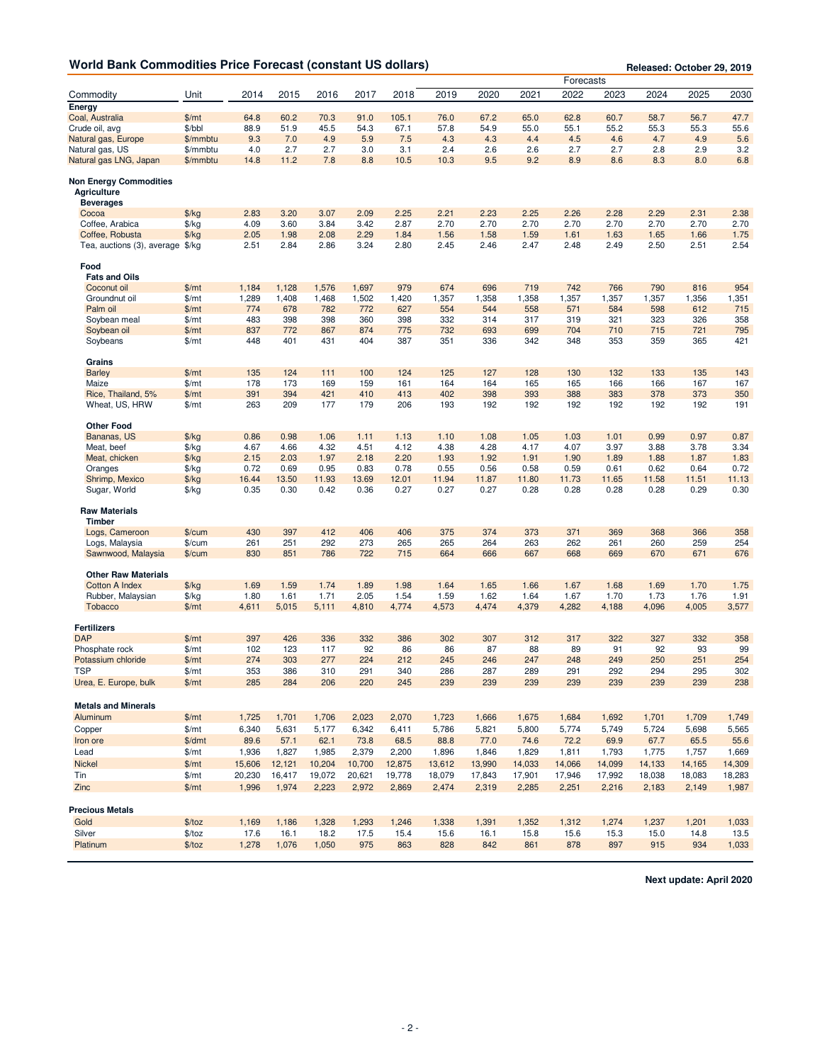|                                                                         |                                |               |               |               |               |               |               |               |               | Forecasts     |               |               |               | Released: October 29, 2019 |
|-------------------------------------------------------------------------|--------------------------------|---------------|---------------|---------------|---------------|---------------|---------------|---------------|---------------|---------------|---------------|---------------|---------------|----------------------------|
| Commodity                                                               | Unit                           | 2014          | 2015          | 2016          | 2017          | 2018          | 2019          | 2020          | 2021          | 2022          | 2023          | 2024          | 2025          | 2030                       |
| Energy                                                                  |                                |               |               |               |               |               |               |               |               |               |               |               |               |                            |
| Coal, Australia                                                         | \$/mt                          | 64.8          | 60.2          | 70.3          | 91.0          | 105.1         | 76.0          | 67.2          | 65.0          | 62.8          | 60.7          | 58.7          | 56.7          | 47.7                       |
| Crude oil, avg                                                          | \$/bbl                         | 88.9          | 51.9          | 45.5          | 54.3          | 67.1          | 57.8          | 54.9          | 55.0          | 55.1          | 55.2          | 55.3          | 55.3          | 55.6                       |
| Natural gas, Europe                                                     | \$/mmbtu                       | 9.3           | 7.0           | 4.9           | 5.9           | 7.5           | 4.3           | 4.3           | 4.4           | 4.5           | 4.6           | 4.7           | 4.9           | 5.6                        |
| Natural gas, US                                                         | \$/mmbtu                       | 4.0           | 2.7           | 2.7           | 3.0           | 3.1           | 2.4           | 2.6           | 2.6           | 2.7           | 2.7           | 2.8           | 2.9           | 3.2                        |
| Natural gas LNG, Japan                                                  | \$/mmbtu                       | 14.8          | 11.2          | 7.8           | 8.8           | 10.5          | 10.3          | 9.5           | 9.2           | 8.9           | 8.6           | 8.3           | 8.0           | 6.8                        |
| <b>Non Energy Commodities</b><br><b>Agriculture</b><br><b>Beverages</b> |                                |               |               |               |               |               |               |               |               |               |               |               |               |                            |
| Cocoa                                                                   | $\frac{f}{f}$                  | 2.83          | 3.20          | 3.07          | 2.09          | 2.25          | 2.21          | 2.23          | 2.25          | 2.26          | 2.28          | 2.29          | 2.31          | 2.38                       |
| Coffee, Arabica                                                         | $\frac{f}{f}$                  | 4.09          | 3.60          | 3.84          | 3.42          | 2.87          | 2.70          | 2.70          | 2.70          | 2.70          | 2.70          | 2.70          | 2.70          | 2.70                       |
| Coffee, Robusta                                                         | $\frac{f}{f}$                  | 2.05          | 1.98          | 2.08          | 2.29          | 1.84          | 1.56          | 1.58          | 1.59          | 1.61          | 1.63          | 1.65          | 1.66          | 1.75                       |
| Tea, auctions (3), average \$/kg                                        |                                | 2.51          | 2.84          | 2.86          | 3.24          | 2.80          | 2.45          | 2.46          | 2.47          | 2.48          | 2.49          | 2.50          | 2.51          | 2.54                       |
| Food<br><b>Fats and Oils</b>                                            |                                |               |               |               |               |               |               |               |               |               |               |               |               |                            |
| Coconut oil                                                             | \$/mt                          | 1,184         | 1,128         | 1,576         | 1,697         | 979           | 674           | 696           | 719           | 742           | 766           | 790           | 816           | 954                        |
| Groundnut oil                                                           | \$/mt                          | 1,289         | 1,408         | 1,468         | 1,502         | 1,420         | 1,357         | 1,358         | 1,358         | 1,357         | 1,357         | 1,357         | 1,356         | 1,351                      |
| Palm oil                                                                | \$/mt                          | 774           | 678           | 782           | 772           | 627           | 554           | 544           | 558           | 571           | 584           | 598           | 612           | 715                        |
| Soybean meal                                                            | \$/mt                          | 483           | 398           | 398           | 360           | 398           | 332           | 314           | 317           | 319           | 321           | 323           | 326           | 358                        |
| Soybean oil                                                             | \$/mt                          | 837           | 772           | 867           | 874           | 775           | 732           | 693           | 699           | 704           | 710           | 715           | 721           | 795                        |
| Soybeans                                                                | \$/mt                          | 448           | 401           | 431           | 404           | 387           | 351           | 336           | 342           | 348           | 353           | 359           | 365           | 421                        |
| Grains                                                                  |                                |               |               |               |               |               |               |               |               |               |               |               |               |                            |
| <b>Barley</b>                                                           | \$/mt                          | 135           | 124           | 111           | 100           | 124           | 125           | 127           | 128           | 130           | 132           | 133           | 135           | 143                        |
| Maize                                                                   | \$/mt                          | 178           | 173           | 169           | 159           | 161           | 164           | 164           | 165           | 165           | 166           | 166           | 167           | 167                        |
| Rice, Thailand, 5%                                                      | \$/mt                          | 391           | 394           | 421           | 410           | 413           | 402           | 398           | 393           | 388           | 383           | 378           | 373           | 350                        |
| Wheat, US, HRW                                                          | \$/mt                          | 263           | 209           | 177           | 179           | 206           | 193           | 192           | 192           | 192           | 192           | 192           | 192           | 191                        |
| <b>Other Food</b>                                                       |                                |               |               |               |               |               |               |               |               |               |               |               |               |                            |
| Bananas, US                                                             | $\frac{f}{g}$                  | 0.86          | 0.98          | 1.06          | 1.11          | 1.13          | 1.10          | 1.08          | 1.05          | 1.03          | 1.01          | 0.99          | 0.97          | 0.87                       |
| Meat, beef                                                              | $\frac{f}{g}$                  | 4.67          | 4.66          | 4.32          | 4.51          | 4.12          | 4.38          | 4.28          | 4.17          | 4.07          | 3.97          | 3.88          | 3.78          | 3.34                       |
| Meat, chicken                                                           | $\frac{f}{g}$                  | 2.15          | 2.03          | 1.97          | 2.18          | 2.20          | 1.93          | 1.92          | 1.91          | 1.90          | 1.89          | 1.88          | 1.87          | 1.83                       |
| Oranges                                                                 | $\frac{f}{g}$                  | 0.72<br>16.44 | 0.69          | 0.95<br>11.93 | 0.83<br>13.69 | 0.78          | 0.55          | 0.56<br>11.87 | 0.58          | 0.59<br>11.73 | 0.61          | 0.62<br>11.58 | 0.64          | 0.72<br>11.13              |
| Shrimp, Mexico<br>Sugar, World                                          | $\frac{f}{g}$<br>$\frac{f}{f}$ | 0.35          | 13.50<br>0.30 | 0.42          | 0.36          | 12.01<br>0.27 | 11.94<br>0.27 | 0.27          | 11.80<br>0.28 | 0.28          | 11.65<br>0.28 | 0.28          | 11.51<br>0.29 | 0.30                       |
| <b>Raw Materials</b>                                                    |                                |               |               |               |               |               |               |               |               |               |               |               |               |                            |
| <b>Timber</b>                                                           |                                |               |               |               |               |               |               |               |               |               |               |               |               |                            |
| Logs, Cameroon                                                          | $%$ /cum                       | 430           | 397           | 412           | 406           | 406           | 375           | 374           | 373           | 371           | 369           | 368           | 366           | 358                        |
| Logs, Malaysia                                                          | $%$ /cum                       | 261           | 251           | 292           | 273           | 265           | 265           | 264           | 263           | 262           | 261           | 260           | 259           | 254                        |
| Sawnwood, Malaysia                                                      | $%$ /cum                       | 830           | 851           | 786           | 722           | 715           | 664           | 666           | 667           | 668           | 669           | 670           | 671           | 676                        |
| <b>Other Raw Materials</b>                                              |                                |               |               |               |               |               |               |               |               |               |               |               |               |                            |
| <b>Cotton A Index</b>                                                   | $\frac{f}{g}$                  | 1.69          | 1.59          | 1.74          | 1.89          | 1.98          | 1.64          | 1.65          | 1.66          | 1.67          | 1.68          | 1.69          | 1.70          | 1.75                       |
| Rubber, Malaysian                                                       | $\frac{f}{g}$                  | 1.80          | 1.61          | 1.71          | 2.05          | 1.54          | 1.59          | 1.62          | 1.64          | 1.67          | 1.70          | 1.73          | 1.76          | 1.91                       |
| <b>Tobacco</b>                                                          | \$/mt                          | 4,611         | 5,015         | 5,111         | 4,810         | 4,774         | 4,573         | 4,474         | 4,379         | 4,282         | 4,188         | 4,096         | 4,005         | 3,577                      |
| <b>Fertilizers</b>                                                      |                                |               |               |               |               |               |               |               |               |               |               |               |               |                            |
| <b>DAP</b>                                                              | \$/mt                          | 397           | 426           | 336           | 332           | 386           | 302           | 307           | 312           | 317           | 322           | 327           | 332           | 358                        |
| Phosphate rock                                                          | \$/mt                          | 102           | 123           | 117           | 92            | 86            | 86            | 87            | 88            | 89            | 91            | 92            | 93            | 99                         |
| Potassium chloride                                                      | \$/mt                          | 274           | 303           | 277           | 224           | 212           | 245           | 246           | 247           | 248           | 249           | 250           | 251           | 254                        |
| <b>TSP</b><br>Urea, E. Europe, bulk                                     | $\frac{m}{2}$<br>\$/mt         | 353<br>285    | 386<br>284    | 310<br>206    | 291<br>220    | 340<br>245    | 286<br>239    | 287<br>239    | 289<br>239    | 291<br>239    | 292<br>239    | 294<br>239    | 295<br>239    | 302<br>238                 |
|                                                                         |                                |               |               |               |               |               |               |               |               |               |               |               |               |                            |
| <b>Metals and Minerals</b><br>Aluminum                                  | \$/mt                          | 1,725         | 1,701         | 1,706         | 2,023         | 2,070         | 1,723         | 1,666         | 1,675         | 1,684         | 1,692         | 1,701         | 1,709         | 1,749                      |
|                                                                         |                                |               |               |               |               |               |               | 5,821         |               |               | 5,749         |               | 5,698         | 5,565                      |
| Copper                                                                  | \$/mt                          | 6,340         | 5,631         | 5,177         | 6,342         | 6,411         | 5,786         |               | 5,800         | 5,774         |               | 5,724         |               |                            |
| Iron ore                                                                | \$/dmt                         | 89.6          | 57.1          | 62.1          | 73.8          | 68.5          | 88.8          | 77.0          | 74.6          | 72.2          | 69.9          | 67.7<br>1,775 | 65.5          | 55.6                       |
| Lead                                                                    | \$/mt                          | 1,936         | 1,827         | 1,985         | 2,379         | 2,200         | 1,896         | 1,846         | 1,829         | 1,811         | 1,793         |               | 1,757         | 1,669                      |
| Nickel                                                                  | \$/mt                          | 15,606        | 12,121        | 10,204        | 10,700        | 12,875        | 13,612        | 13,990        | 14,033        | 14,066        | 14,099        | 14,133        | 14,165        | 14,309                     |
| Tin                                                                     | \$/mt                          | 20,230        | 16,417        | 19,072        | 20,621        | 19,778        | 18,079        | 17,843        | 17,901        | 17,946        | 17,992        | 18,038        | 18,083        | 18,283                     |
| Zinc                                                                    | \$/mt                          | 1,996         | 1,974         | 2,223         | 2,972         | 2,869         | 2,474         | 2,319         | 2,285         | 2,251         | 2,216         | 2,183         | 2,149         | 1,987                      |
| <b>Precious Metals</b>                                                  |                                |               |               |               |               |               |               |               |               |               |               |               |               |                            |
| Gold                                                                    | \$/toz                         | 1,169         | 1,186         | 1,328         | 1,293         | 1,246         | 1,338         | 1,391         | 1,352         | 1,312         | 1,274         | 1,237         | 1,201         | 1,033                      |
| Silver                                                                  | \$/toz                         | 17.6          | 16.1          | 18.2          | 17.5          | 15.4          | 15.6          | 16.1          | 15.8          | 15.6          | 15.3          | 15.0          | 14.8          | 13.5                       |
| Platinum                                                                | \$/toz                         | 1,278         | 1,076         | 1,050         | 975           | 863           | 828           | 842           | 861           | 878           | 897           | 915           | 934           | 1,033                      |

**Next update: April 2020**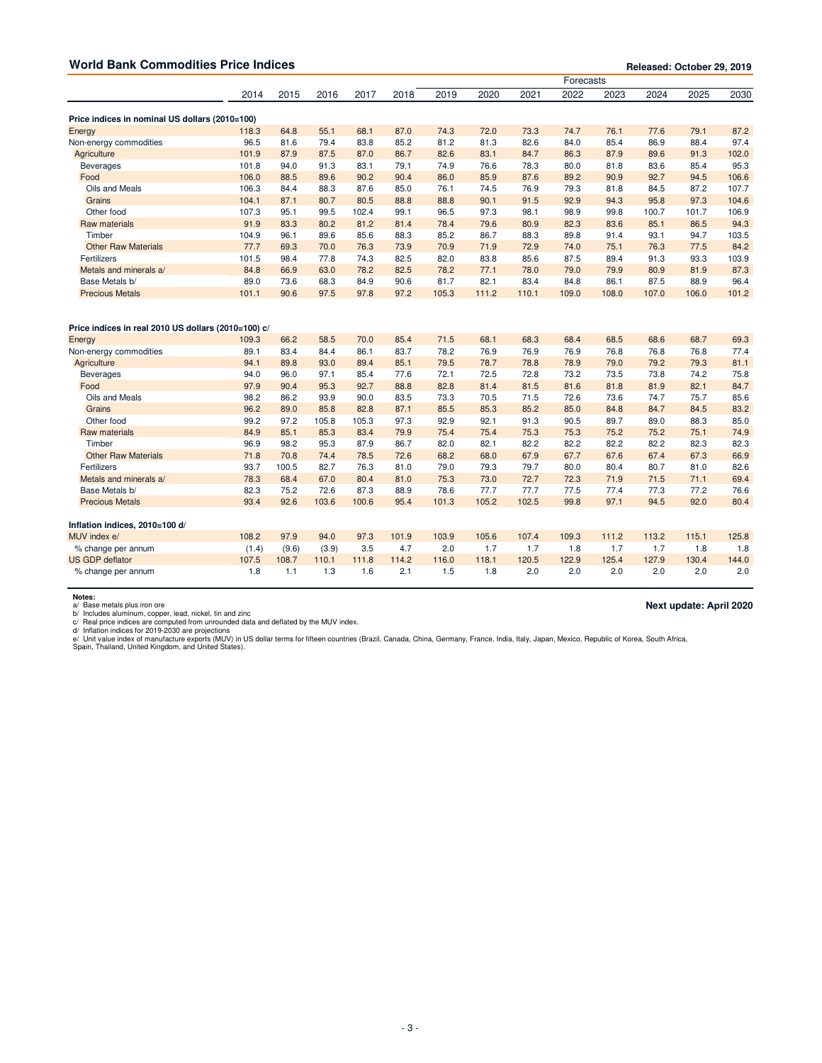| <b>World Bank Commodities Price Indices</b>         |       | Released: October 29, 2019 |       |       |       |       |       |       |           |       |       |       |       |
|-----------------------------------------------------|-------|----------------------------|-------|-------|-------|-------|-------|-------|-----------|-------|-------|-------|-------|
|                                                     |       |                            |       |       |       |       |       |       | Forecasts |       |       |       |       |
|                                                     | 2014  | 2015                       | 2016  | 2017  | 2018  | 2019  | 2020  | 2021  | 2022      | 2023  | 2024  | 2025  | 2030  |
| Price indices in nominal US dollars (2010=100)      |       |                            |       |       |       |       |       |       |           |       |       |       |       |
| Energy                                              | 118.3 | 64.8                       | 55.1  | 68.1  | 87.0  | 74.3  | 72.0  | 73.3  | 74.7      | 76.1  | 77.6  | 79.1  | 87.2  |
| Non-energy commodities                              | 96.5  | 81.6                       | 79.4  | 83.8  | 85.2  | 81.2  | 81.3  | 82.6  | 84.0      | 85.4  | 86.9  | 88.4  | 97.4  |
| Agriculture                                         | 101.9 | 87.9                       | 87.5  | 87.0  | 86.7  | 82.6  | 83.1  | 84.7  | 86.3      | 87.9  | 89.6  | 91.3  | 102.0 |
| <b>Beverages</b>                                    | 101.8 | 94.0                       | 91.3  | 83.1  | 79.1  | 74.9  | 76.6  | 78.3  | 80.0      | 81.8  | 83.6  | 85.4  | 95.3  |
| Food                                                | 106.0 | 88.5                       | 89.6  | 90.2  | 90.4  | 86.0  | 85.9  | 87.6  | 89.2      | 90.9  | 92.7  | 94.5  | 106.6 |
| Oils and Meals                                      | 106.3 | 84.4                       | 88.3  | 87.6  | 85.0  | 76.1  | 74.5  | 76.9  | 79.3      | 81.8  | 84.5  | 87.2  | 107.7 |
| Grains                                              | 104.1 | 87.1                       | 80.7  | 80.5  | 88.8  | 88.8  | 90.1  | 91.5  | 92.9      | 94.3  | 95.8  | 97.3  | 104.6 |
| Other food                                          | 107.3 | 95.1                       | 99.5  | 102.4 | 99.1  | 96.5  | 97.3  | 98.1  | 98.9      | 99.8  | 100.7 | 101.7 | 106.9 |
| Raw materials                                       | 91.9  | 83.3                       | 80.2  | 81.2  | 81.4  | 78.4  | 79.6  | 80.9  | 82.3      | 83.6  | 85.1  | 86.5  | 94.3  |
| Timber                                              | 104.9 | 96.1                       | 89.6  | 85.6  | 88.3  | 85.2  | 86.7  | 88.3  | 89.8      | 91.4  | 93.1  | 94.7  | 103.5 |
| <b>Other Raw Materials</b>                          | 77.7  | 69.3                       | 70.0  | 76.3  | 73.9  | 70.9  | 71.9  | 72.9  | 74.0      | 75.1  | 76.3  | 77.5  | 84.2  |
| Fertilizers                                         | 101.5 | 98.4                       | 77.8  | 74.3  | 82.5  | 82.0  | 83.8  | 85.6  | 87.5      | 89.4  | 91.3  | 93.3  | 103.9 |
| Metals and minerals a/                              | 84.8  | 66.9                       | 63.0  | 78.2  | 82.5  | 78.2  | 77.1  | 78.0  | 79.0      | 79.9  | 80.9  | 81.9  | 87.3  |
| Base Metals b/                                      | 89.0  | 73.6                       | 68.3  | 84.9  | 90.6  | 81.7  | 82.1  | 83.4  | 84.8      | 86.1  | 87.5  | 88.9  | 96.4  |
| <b>Precious Metals</b>                              | 101.1 | 90.6                       | 97.5  | 97.8  | 97.2  | 105.3 | 111.2 | 110.1 | 109.0     | 108.0 | 107.0 | 106.0 | 101.2 |
| Price indices in real 2010 US dollars (2010=100) c/ |       |                            |       |       |       |       |       |       |           |       |       |       |       |
| Energy                                              | 109.3 | 66.2                       | 58.5  | 70.0  | 85.4  | 71.5  | 68.1  | 68.3  | 68.4      | 68.5  | 68.6  | 68.7  | 69.3  |
| Non-energy commodities                              | 89.1  | 83.4                       | 84.4  | 86.1  | 83.7  | 78.2  | 76.9  | 76.9  | 76.9      | 76.8  | 76.8  | 76.8  | 77.4  |
| Agriculture                                         | 94.1  | 89.8                       | 93.0  | 89.4  | 85.1  | 79.5  | 78.7  | 78.8  | 78.9      | 79.0  | 79.2  | 79.3  | 81.1  |
| <b>Beverages</b>                                    | 94.0  | 96.0                       | 97.1  | 85.4  | 77.6  | 72.1  | 72.5  | 72.8  | 73.2      | 73.5  | 73.8  | 74.2  | 75.8  |
| Food                                                | 97.9  | 90.4                       | 95.3  | 92.7  | 88.8  | 82.8  | 81.4  | 81.5  | 81.6      | 81.8  | 81.9  | 82.1  | 84.7  |
| Oils and Meals                                      | 98.2  | 86.2                       | 93.9  | 90.0  | 83.5  | 73.3  | 70.5  | 71.5  | 72.6      | 73.6  | 74.7  | 75.7  | 85.6  |
| Grains                                              | 96.2  | 89.0                       | 85.8  | 82.8  | 87.1  | 85.5  | 85.3  | 85.2  | 85.0      | 84.8  | 84.7  | 84.5  | 83.2  |
| Other food                                          | 99.2  | 97.2                       | 105.8 | 105.3 | 97.3  | 92.9  | 92.1  | 91.3  | 90.5      | 89.7  | 89.0  | 88.3  | 85.0  |
| Raw materials                                       | 84.9  | 85.1                       | 85.3  | 83.4  | 79.9  | 75.4  | 75.4  | 75.3  | 75.3      | 75.2  | 75.2  | 75.1  | 74.9  |
| Timber                                              | 96.9  | 98.2                       | 95.3  | 87.9  | 86.7  | 82.0  | 82.1  | 82.2  | 82.2      | 82.2  | 82.2  | 82.3  | 82.3  |
| <b>Other Raw Materials</b>                          | 71.8  | 70.8                       | 74.4  | 78.5  | 72.6  | 68.2  | 68.0  | 67.9  | 67.7      | 67.6  | 67.4  | 67.3  | 66.9  |
| Fertilizers                                         | 93.7  | 100.5                      | 82.7  | 76.3  | 81.0  | 79.0  | 79.3  | 79.7  | 80.0      | 80.4  | 80.7  | 81.0  | 82.6  |
| Metals and minerals a/                              | 78.3  | 68.4                       | 67.0  | 80.4  | 81.0  | 75.3  | 73.0  | 72.7  | 72.3      | 71.9  | 71.5  | 71.1  | 69.4  |
| Base Metals b/                                      | 82.3  | 75.2                       | 72.6  | 87.3  | 88.9  | 78.6  | 77.7  | 77.7  | 77.5      | 77.4  | 77.3  | 77.2  | 76.6  |
| <b>Precious Metals</b>                              | 93.4  | 92.6                       | 103.6 | 100.6 | 95.4  | 101.3 | 105.2 | 102.5 | 99.8      | 97.1  | 94.5  | 92.0  | 80.4  |
| Inflation indices, 2010=100 d/                      |       |                            |       |       |       |       |       |       |           |       |       |       |       |
| MUV index e/                                        | 108.2 | 97.9                       | 94.0  | 97.3  | 101.9 | 103.9 | 105.6 | 107.4 | 109.3     | 111.2 | 113.2 | 115.1 | 125.8 |
| % change per annum                                  | (1.4) | (9.6)                      | (3.9) | 3.5   | 4.7   | 2.0   | 1.7   | 1.7   | 1.8       | 1.7   | 1.7   | 1.8   | 1.8   |
| <b>US GDP deflator</b>                              | 107.5 | 108.7                      | 110.1 | 111.8 | 114.2 | 116.0 | 118.1 | 120.5 | 122.9     | 125.4 | 127.9 | 130.4 | 144.0 |
| % change per annum                                  | 1.8   | 1.1                        | 1.3   | 1.6   | 2.1   | 1.5   | 1.8   | 2.0   | 2.0       | 2.0   | 2.0   | 2.0   | 2.0   |

Notes:<br>a/ Base metals plus iron ore<br>b/ Includes aluminum, copper, lead, nickel, tin and zinc<br>d/ Inflation indices are computed from unrounded data and deflated by the MUV index.<br>d/ Inflation indices for 2019-2030 are proje

**Next update: April 2020**